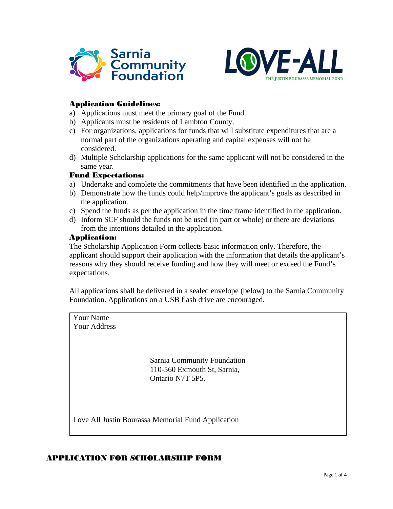



## Application Guidelines:

- a) Applications must meet the primary goal of the Fund.
- b) Applicants must be residents of Lambton County.
- c) For organizations, applications for funds that will substitute expenditures that are a normal part of the organizations operating and capital expenses will not be considered.
- d) Multiple Scholarship applications for the same applicant will not be considered in the same year.

#### Fund Expectations:

- a) Undertake and complete the commitments that have been identified in the application.
- b) Demonstrate how the funds could help/improve the applicant's goals as described in the application.
- c) Spend the funds as per the application in the time frame identified in the application.
- d) Inform SCF should the funds not be used (in part or whole) or there are deviations from the intentions detailed in the application.

### Application:

The Scholarship Application Form collects basic information only. Therefore, the applicant should support their application with the information that details the applicant's reasons why they should receive funding and how they will meet or exceed the Fund's expectations.

All applications shall be delivered in a sealed envelope (below) to the Sarnia Community Foundation. Applications on a USB flash drive are encouraged.



### APPLICATION FOR SCHOLARSHIP FORM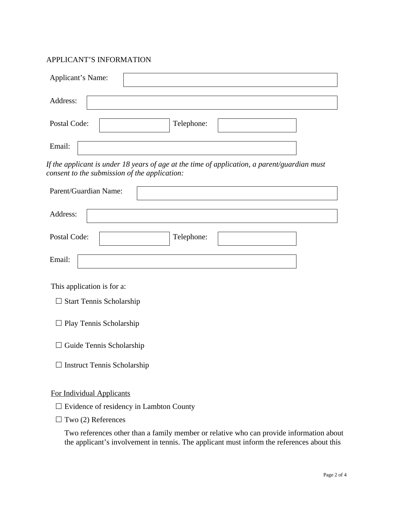# APPLICANT'S INFORMATION

| Applicant's Name:                                                                                                                                                                     |
|---------------------------------------------------------------------------------------------------------------------------------------------------------------------------------------|
| Address:                                                                                                                                                                              |
| Postal Code:<br>Telephone:                                                                                                                                                            |
| Email:                                                                                                                                                                                |
| If the applicant is under 18 years of age at the time of application, a parent/guardian must<br>consent to the submission of the application:                                         |
| Parent/Guardian Name:                                                                                                                                                                 |
| Address:                                                                                                                                                                              |
| Postal Code:<br>Telephone:                                                                                                                                                            |
| Email:                                                                                                                                                                                |
| This application is for a:                                                                                                                                                            |
| $\Box$ Start Tennis Scholarship                                                                                                                                                       |
| $\Box$ Play Tennis Scholarship                                                                                                                                                        |
| Guide Tennis Scholarship                                                                                                                                                              |
| $\Box$ Instruct Tennis Scholarship                                                                                                                                                    |
| <b>For Individual Applicants</b>                                                                                                                                                      |
| $\Box$ Evidence of residency in Lambton County                                                                                                                                        |
| Two (2) References                                                                                                                                                                    |
| Two references other than a family member or relative who can provide information about<br>the applicant's involvement in tennis. The applicant must inform the references about this |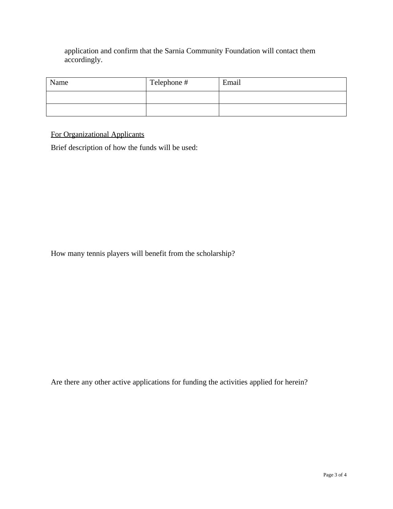application and confirm that the Sarnia Community Foundation will contact them accordingly.

| Name | Telephone # | Email |
|------|-------------|-------|
|      |             |       |
|      |             |       |

For Organizational Applicants

Brief description of how the funds will be used:

How many tennis players will benefit from the scholarship?

Are there any other active applications for funding the activities applied for herein?